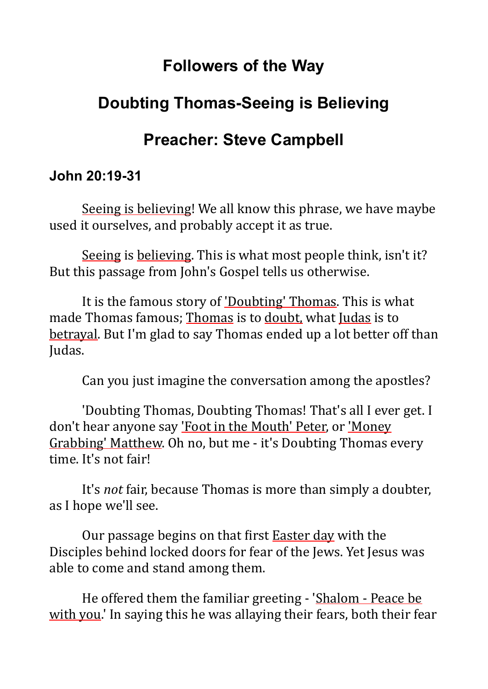### **Followers of the Way**

# **Doubting Thomas-Seeing is Believing**

# **Preacher: Steve Campbell**

#### **John 20:19-31**

Seeing is believing! We all know this phrase, we have maybe used it ourselves, and probably accept it as true.

Seeing is believing. This is what most people think, isn't it? But this passage from John's Gospel tells us otherwise.

It is the famous story of 'Doubting' Thomas. This is what made Thomas famous: Thomas is to doubt, what Judas is to betrayal. But I'm glad to say Thomas ended up a lot better off than Judas.

Can you just imagine the conversation among the apostles?

'Doubting Thomas, Doubting Thomas! That's all I ever get. I don't hear anyone say 'Foot in the Mouth' Peter, or 'Money Grabbing' Matthew. Oh no, but me - it's Doubting Thomas every time. It's not fair!

It's *not* fair, because Thomas is more than simply a doubter, as I hope we'll see.

Our passage begins on that first Easter day with the Disciples behind locked doors for fear of the Jews. Yet Jesus was able to come and stand among them.

He offered them the familiar greeting - 'Shalom - Peace be with you.' In saying this he was allaying their fears, both their fear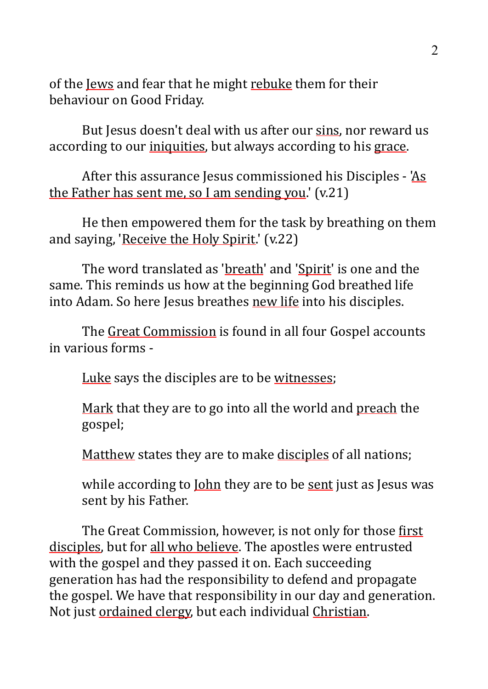of the Jews and fear that he might rebuke them for their behaviour on Good Friday.

But Jesus doesn't deal with us after our sins, nor reward us according to our iniquities, but always according to his grace.

After this assurance Jesus commissioned his Disciples - 'As the Father has sent me, so I am sending you.'  $(v.21)$ 

He then empowered them for the task by breathing on them and saying, 'Receive the Holy Spirit.' (v.22)

The word translated as 'breath' and 'Spirit' is one and the same. This reminds us how at the beginning God breathed life into Adam. So here Jesus breathes new life into his disciples.

The Great Commission is found in all four Gospel accounts in various forms -

Luke says the disciples are to be witnesses;

Mark that they are to go into all the world and preach the gospel;

Matthew states they are to make disciples of all nations;

while according to  $\underline{\text{lohn}}$  they are to be sent just as Jesus was sent by his Father.

The Great Commission, however, is not only for those first disciples, but for all who believe. The apostles were entrusted with the gospel and they passed it on. Each succeeding generation has had the responsibility to defend and propagate the gospel. We have that responsibility in our day and generation. Not just ordained clergy, but each individual Christian.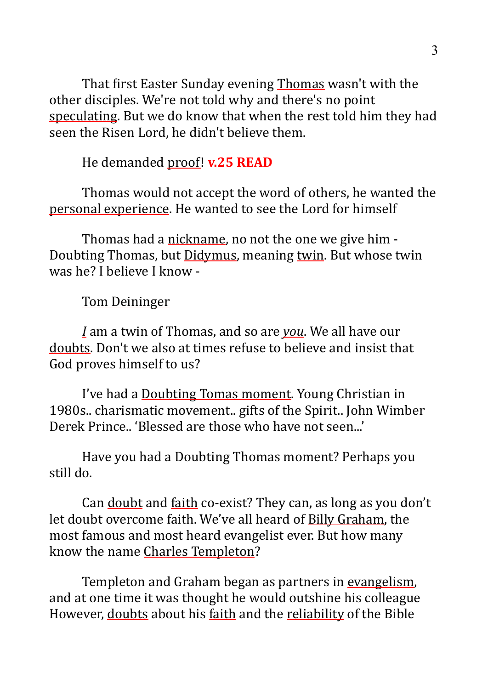That first Easter Sunday evening Thomas wasn't with the other disciples. We're not told why and there's no point speculating. But we do know that when the rest told him they had seen the Risen Lord, he didn't believe them.

He demanded proof! **v.25 READ** 

Thomas would not accept the word of others, he wanted the personal experience. He wanted to see the Lord for himself

Thomas had a nickname, no not the one we give him -Doubting Thomas, but Didymus, meaning twin. But whose twin was he? I helieve I know -

#### **Tom Deininger**

*I* am a twin of Thomas, and so are *you*. We all have our doubts. Don't we also at times refuse to believe and insist that God proves himself to us?

I've had a Doubting Tomas moment. Young Christian in 1980s.. charismatic movement.. gifts of the Spirit.. John Wimber Derek Prince... 'Blessed are those who have not seen...'

Have you had a Doubting Thomas moment? Perhaps you still do.

Can doubt and faith co-exist? They can, as long as you don't let doubt overcome faith. We've all heard of Billy Graham, the most famous and most heard evangelist ever. But how many know the name Charles Templeton?

Templeton and Graham began as partners in evangelism, and at one time it was thought he would outshine his colleague However, doubts about his faith and the reliability of the Bible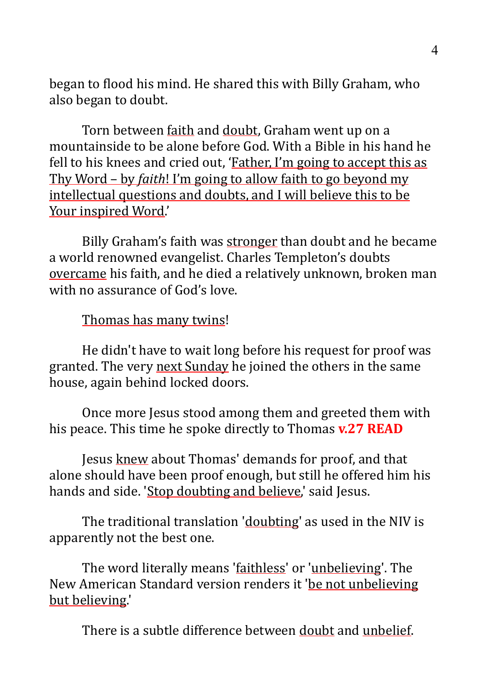began to flood his mind. He shared this with Billy Graham, who also began to doubt.

Torn between faith and doubt, Graham went up on a mountainside to be alone before God. With a Bible in his hand he fell to his knees and cried out, 'Father, I'm going to accept this as Thy Word – by *faith*! I'm going to allow faith to go beyond my intellectual questions and doubts, and I will believe this to be Your inspired Word.'

Billy Graham's faith was stronger than doubt and he became a world renowned evangelist. Charles Templeton's doubts overcame his faith, and he died a relatively unknown, broken man with no assurance of God's love.

Thomas has many twins!

He didn't have to wait long before his request for proof was granted. The very next Sunday he joined the others in the same house, again behind locked doors.

Once more Jesus stood among them and greeted them with his peace. This time he spoke directly to Thomas **v.27 READ** 

Jesus knew about Thomas' demands for proof, and that alone should have been proof enough, but still he offered him his hands and side. 'Stop doubting and believe,' said Jesus.

The traditional translation 'doubting' as used in the NIV is apparently not the best one.

The word literally means 'faithless' or 'unbelieving'. The New American Standard version renders it 'be not unbelieving but believing.'

There is a subtle difference between doubt and unbelief.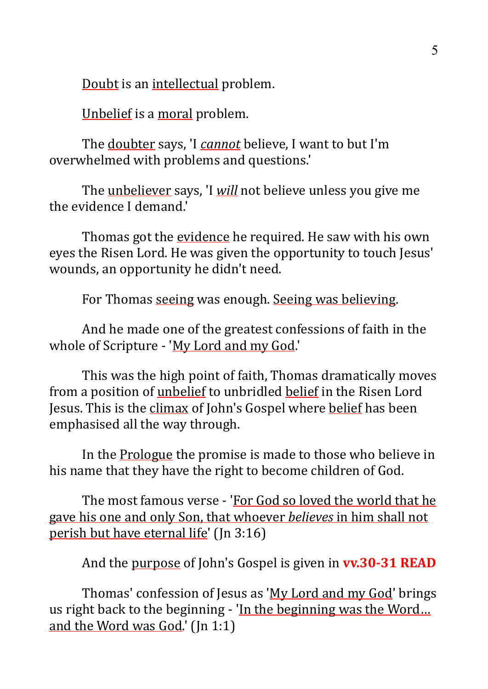Doubt is an intellectual problem.

Unbelief is a moral problem.

The doubter says, 'I *cannot* believe, I want to but I'm overwhelmed with problems and questions.'

The unbeliever says, 'I *will* not believe unless you give me the evidence I demand.'

Thomas got the evidence he required. He saw with his own eyes the Risen Lord. He was given the opportunity to touch Jesus' wounds, an opportunity he didn't need.

For Thomas seeing was enough. Seeing was believing.

And he made one of the greatest confessions of faith in the whole of Scripture - 'My Lord and my God.'

This was the high point of faith, Thomas dramatically moves from a position of unbelief to unbridled belief in the Risen Lord Jesus. This is the climax of John's Gospel where belief has been emphasised all the way through.

In the Prologue the promise is made to those who believe in his name that they have the right to become children of God.

The most famous verse - 'For God so loved the world that he gave his one and only Son, that whoever *believes* in him shall not perish but have eternal life' ( $\ln 3:16$ )

And the purpose of John's Gospel is given in **vv.30-31 READ** 

Thomas' confession of Jesus as 'My Lord and my God' brings us right back to the beginning - 'In the beginning was the Word... and the Word was God.'  $[In 1:1]$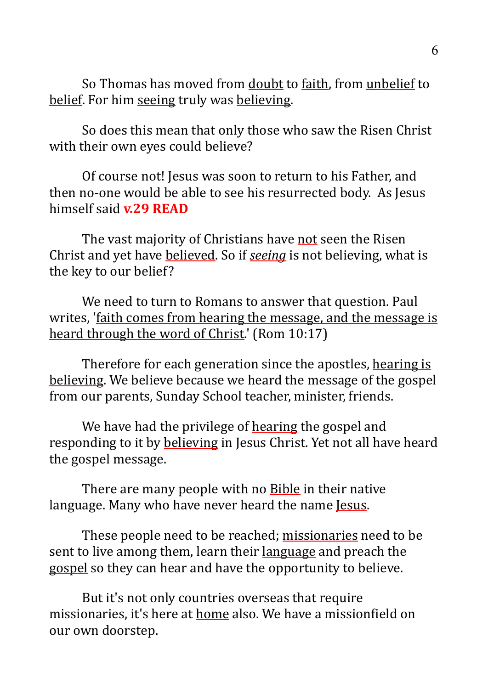So Thomas has moved from doubt to faith, from unbelief to belief. For him seeing truly was believing.

So does this mean that only those who saw the Risen Christ with their own eyes could believe?

Of course not! Jesus was soon to return to his Father, and then no-one would be able to see his resurrected body. As Jesus himself said **v.29 READ** 

The vast majority of Christians have not seen the Risen Christ and yet have believed. So if *seeing* is not believing, what is the key to our belief?

We need to turn to Romans to answer that question. Paul writes, 'faith comes from hearing the message, and the message is heard through the word of Christ.' (Rom  $10:17$ )

Therefore for each generation since the apostles, hearing is believing. We believe because we heard the message of the gospel from our parents, Sunday School teacher, minister, friends.

We have had the privilege of hearing the gospel and responding to it by believing in Jesus Christ. Yet not all have heard the gospel message.

There are many people with no Bible in their native language. Many who have never heard the name <u>Jesus</u>.

These people need to be reached; missionaries need to be sent to live among them, learn their language and preach the gospel so they can hear and have the opportunity to believe.

But it's not only countries overseas that require missionaries, it's here at home also. We have a missionfield on our own doorstep.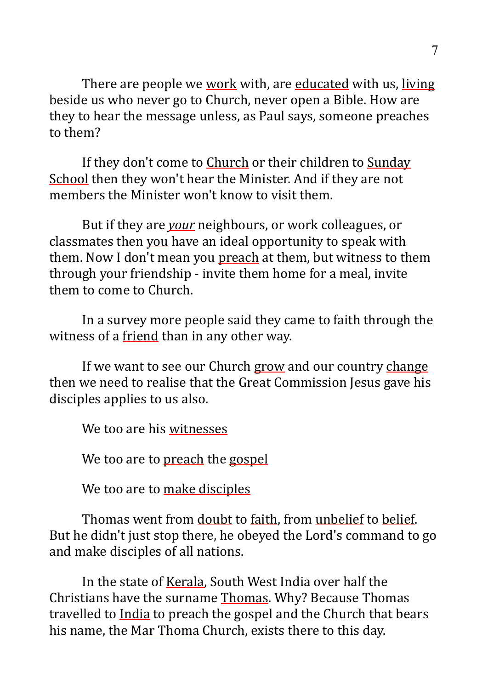There are people we work with, are educated with us, living beside us who never go to Church, never open a Bible. How are they to hear the message unless, as Paul says, someone preaches to them?

If they don't come to Church or their children to Sunday School then they won't hear the Minister. And if they are not members the Minister won't know to visit them.

But if they are *your* neighbours, or work colleagues, or classmates then you have an ideal opportunity to speak with them. Now I don't mean you preach at them, but witness to them through your friendship - invite them home for a meal, invite them to come to Church.

In a survey more people said they came to faith through the witness of a friend than in any other way.

If we want to see our Church grow and our country change then we need to realise that the Great Commission Jesus gave his disciples applies to us also.

We too are his witnesses

We too are to preach the gospel

We too are to make disciples

Thomas went from doubt to faith, from unbelief to belief. But he didn't just stop there, he obeyed the Lord's command to go and make disciples of all nations.

In the state of Kerala, South West India over half the Christians have the surname Thomas. Why? Because Thomas travelled to India to preach the gospel and the Church that bears his name, the Mar Thoma Church, exists there to this day.